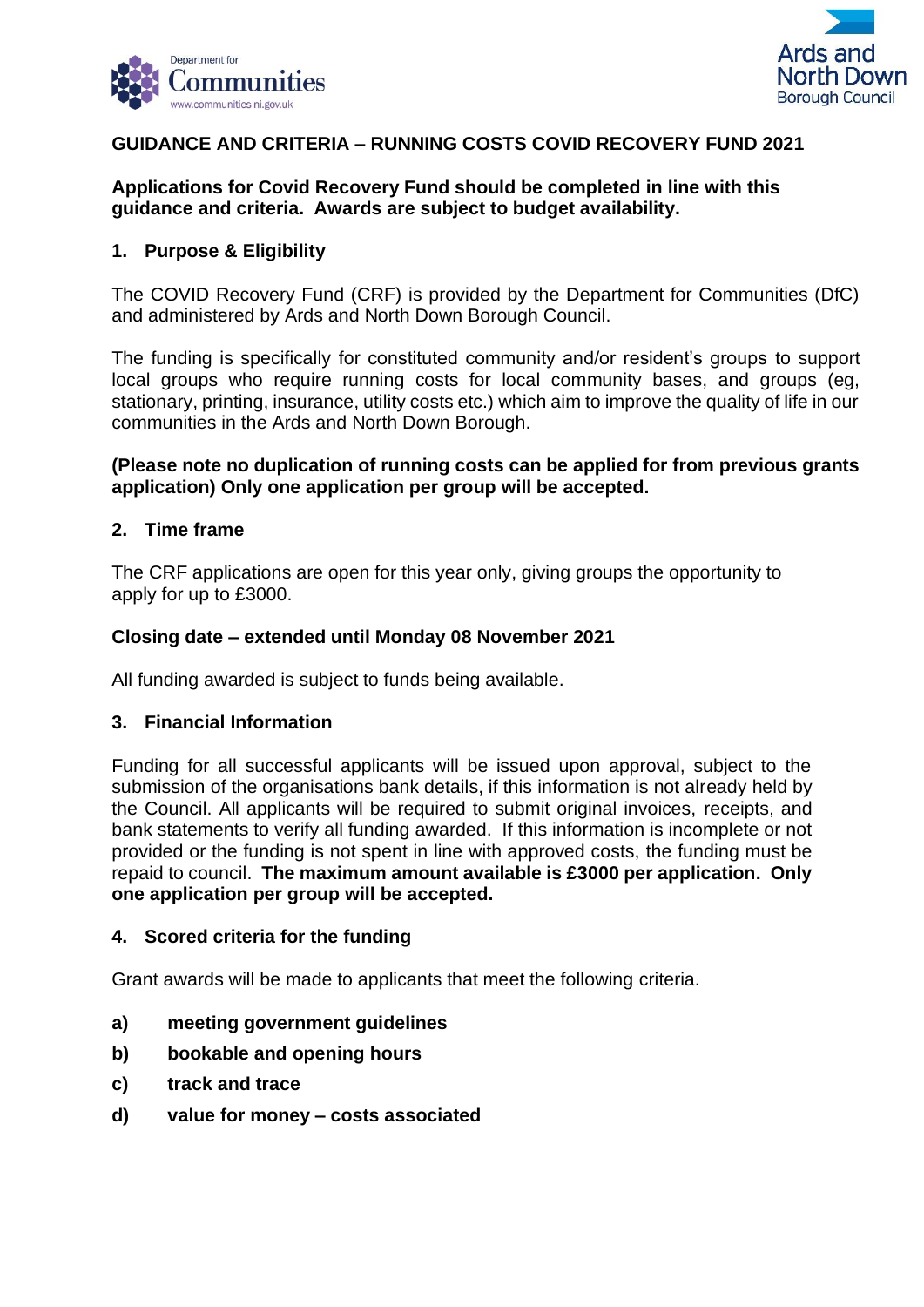



## **GUIDANCE AND CRITERIA – RUNNING COSTS COVID RECOVERY FUND 2021**

## **Applications for Covid Recovery Fund should be completed in line with this guidance and criteria. Awards are subject to budget availability.**

## **1. Purpose & Eligibility**

The COVID Recovery Fund (CRF) is provided by the Department for Communities (DfC) and administered by Ards and North Down Borough Council.

The funding is specifically for constituted community and/or resident's groups to support local groups who require running costs for local community bases, and groups (eg, stationary, printing, insurance, utility costs etc.) which aim to improve the quality of life in our communities in the Ards and North Down Borough.

### **(Please note no duplication of running costs can be applied for from previous grants application) Only one application per group will be accepted.**

### **2. Time frame**

The CRF applications are open for this year only, giving groups the opportunity to apply for up to £3000.

### **Closing date – extended until Monday 08 November 2021**

All funding awarded is subject to funds being available.

### **3. Financial Information**

Funding for all successful applicants will be issued upon approval, subject to the submission of the organisations bank details, if this information is not already held by the Council. All applicants will be required to submit original invoices, receipts, and bank statements to verify all funding awarded. If this information is incomplete or not provided or the funding is not spent in line with approved costs, the funding must be repaid to council. **The maximum amount available is £3000 per application. Only one application per group will be accepted.**

### **4. Scored criteria for the funding**

Grant awards will be made to applicants that meet the following criteria.

- **a) meeting government guidelines**
- **b) bookable and opening hours**
- **c) track and trace**
- **d) value for money – costs associated**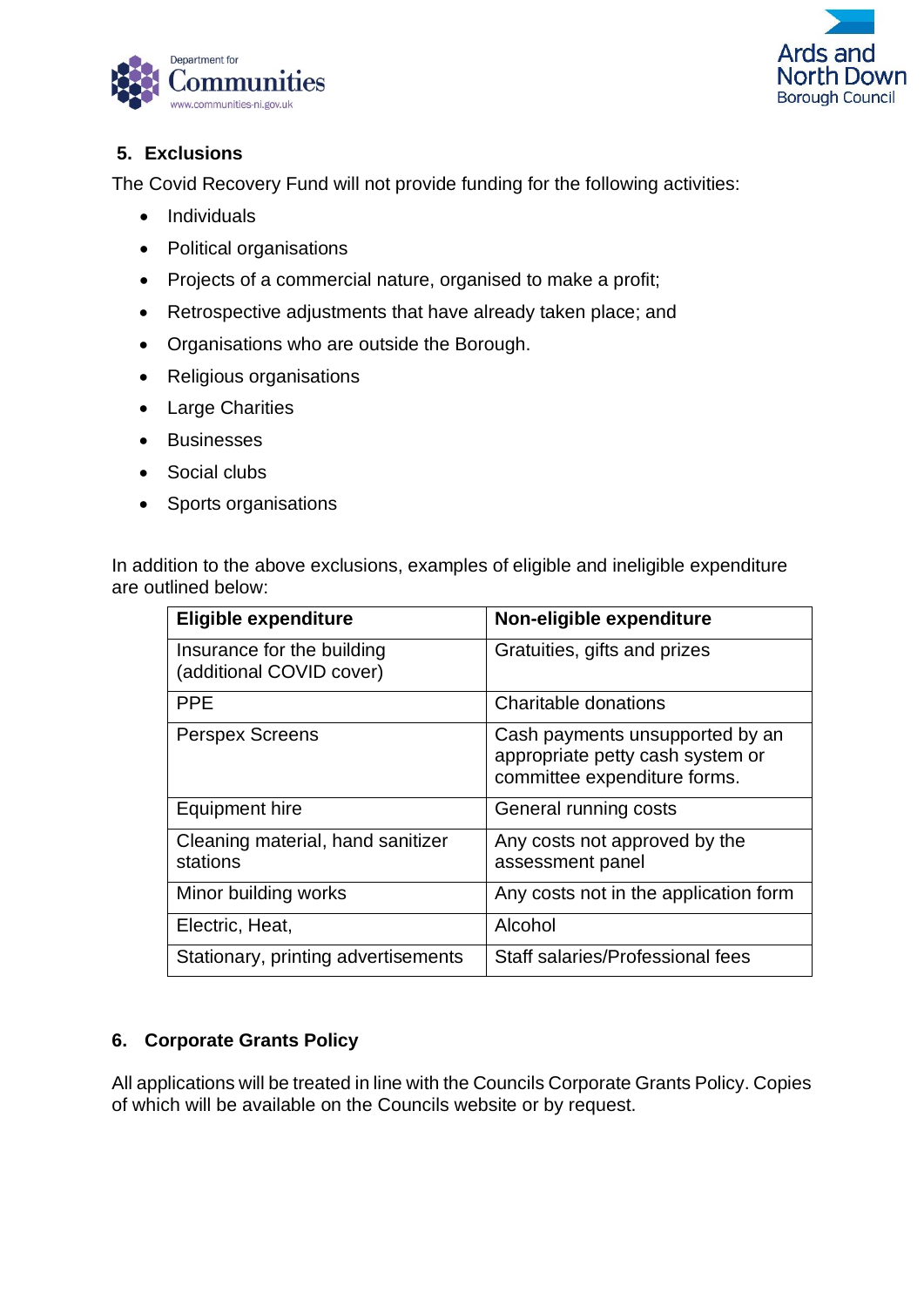



# **5. Exclusions**

The Covid Recovery Fund will not provide funding for the following activities:

- Individuals
- Political organisations
- Projects of a commercial nature, organised to make a profit;
- Retrospective adjustments that have already taken place; and
- Organisations who are outside the Borough.
- Religious organisations
- Large Charities
- Businesses
- Social clubs
- Sports organisations

In addition to the above exclusions, examples of eligible and ineligible expenditure are outlined below:

| <b>Eligible expenditure</b>                            | Non-eligible expenditure                                                                            |
|--------------------------------------------------------|-----------------------------------------------------------------------------------------------------|
| Insurance for the building<br>(additional COVID cover) | Gratuities, gifts and prizes                                                                        |
| <b>PPE</b>                                             | Charitable donations                                                                                |
| <b>Perspex Screens</b>                                 | Cash payments unsupported by an<br>appropriate petty cash system or<br>committee expenditure forms. |
| <b>Equipment hire</b>                                  | General running costs                                                                               |
| Cleaning material, hand sanitizer<br>stations          | Any costs not approved by the<br>assessment panel                                                   |
| Minor building works                                   | Any costs not in the application form                                                               |
| Electric, Heat,                                        | Alcohol                                                                                             |
| Stationary, printing advertisements                    | Staff salaries/Professional fees                                                                    |

# **6. Corporate Grants Policy**

All applications will be treated in line with the Councils Corporate Grants Policy. Copies of which will be available on the Councils website or by request.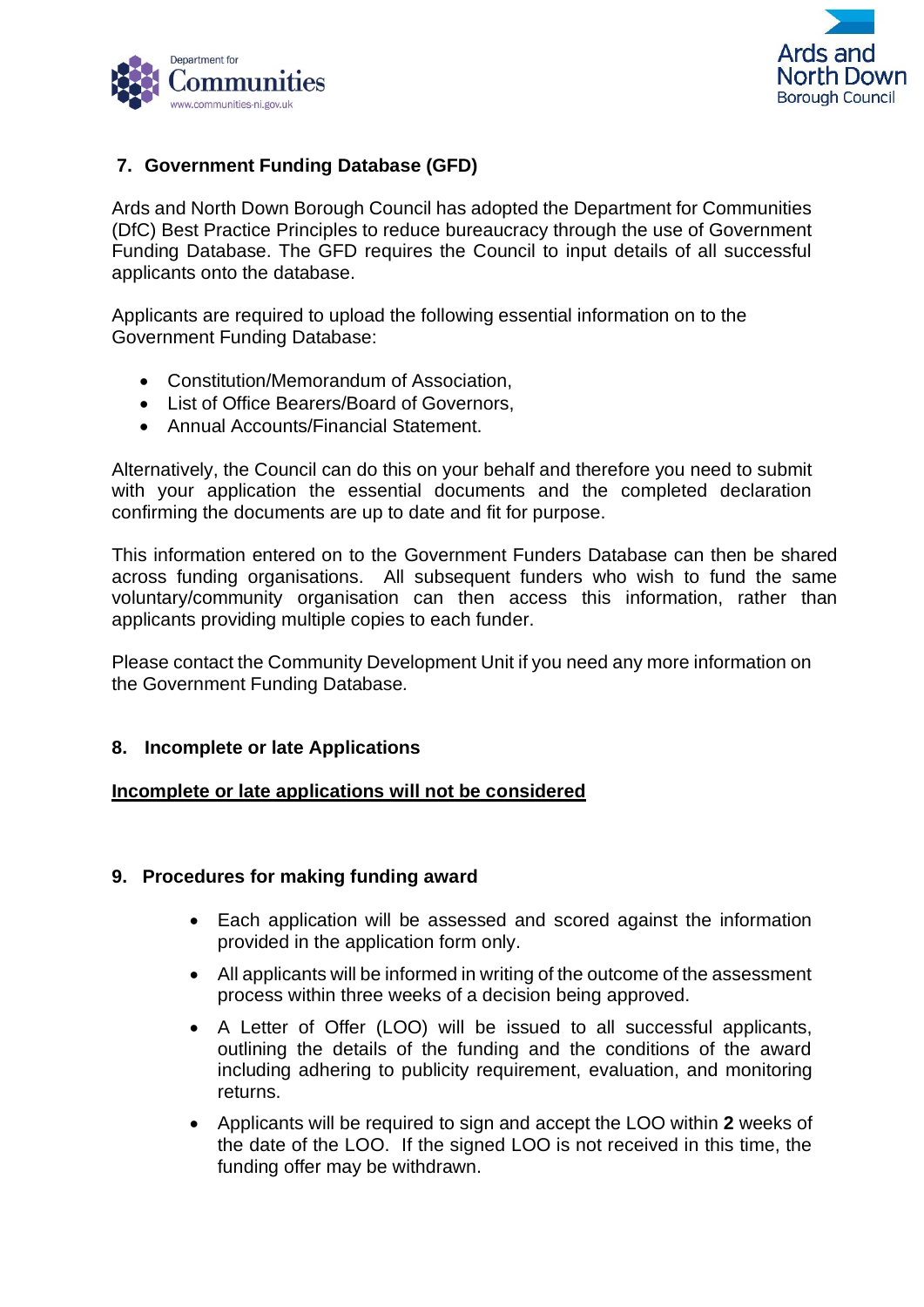



## **7. Government Funding Database (GFD)**

Ards and North Down Borough Council has adopted the Department for Communities (DfC) Best Practice Principles to reduce bureaucracy through the use of Government Funding Database. The GFD requires the Council to input details of all successful applicants onto the database.

Applicants are required to upload the following essential information on to the Government Funding Database:

- Constitution/Memorandum of Association,
- List of Office Bearers/Board of Governors,
- Annual Accounts/Financial Statement.

Alternatively, the Council can do this on your behalf and therefore you need to submit with your application the essential documents and the completed declaration confirming the documents are up to date and fit for purpose.

This information entered on to the Government Funders Database can then be shared across funding organisations. All subsequent funders who wish to fund the same voluntary/community organisation can then access this information, rather than applicants providing multiple copies to each funder.

Please contact the Community Development Unit if you need any more information on the Government Funding Database*.*

## **8. Incomplete or late Applications**

### **Incomplete or late applications will not be considered**

### **9. Procedures for making funding award**

- Each application will be assessed and scored against the information provided in the application form only.
- All applicants will be informed in writing of the outcome of the assessment process within three weeks of a decision being approved.
- A Letter of Offer (LOO) will be issued to all successful applicants, outlining the details of the funding and the conditions of the award including adhering to publicity requirement, evaluation, and monitoring returns.
- Applicants will be required to sign and accept the LOO within **2** weeks of the date of the LOO. If the signed LOO is not received in this time, the funding offer may be withdrawn.